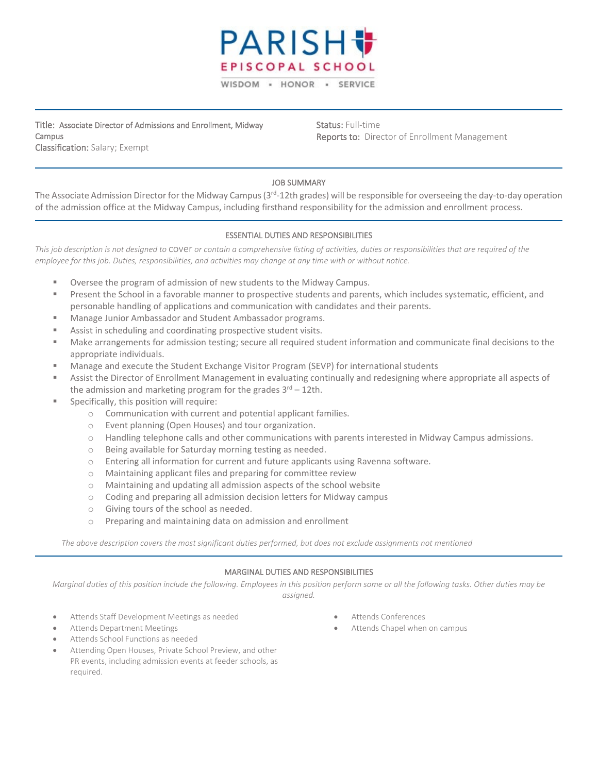

Title: Associate Director of Admissions and Enrollment, Midway Campus Classification: Salary; Exempt

Status: Full-time Reports to: Director of Enrollment Management

# JOB SUMMARY

The Associate Admission Director for the Midway Campus (3<sup>rd</sup>-12th grades) will be responsible for overseeing the day-to-day operation of the admission office at the Midway Campus, including firsthand responsibility for the admission and enrollment process.

# ESSENTIAL DUTIES AND RESPONSIBILITIES

*This job description is not designed to* cover *or contain a comprehensive listing of activities, duties or responsibilities that are required of the employee for this job. Duties, responsibilities, and activities may change at any time with or without notice.*

- Oversee the program of admission of new students to the Midway Campus.
- **Present the School in a favorable manner to prospective students and parents, which includes systematic, efficient, and** personable handling of applications and communication with candidates and their parents.
- Manage Junior Ambassador and Student Ambassador programs.
- Assist in scheduling and coordinating prospective student visits.
- Make arrangements for admission testing; secure all required student information and communicate final decisions to the appropriate individuals.
- Manage and execute the Student Exchange Visitor Program (SEVP) for international students
- Assist the Director of Enrollment Management in evaluating continually and redesigning where appropriate all aspects of the admission and marketing program for the grades  $3<sup>rd</sup> - 12$ th.
- Specifically, this position will require:
	- o Communication with current and potential applicant families.
	- o Event planning (Open Houses) and tour organization.
	- o Handling telephone calls and other communications with parents interested in Midway Campus admissions.
	- o Being available for Saturday morning testing as needed.
	- o Entering all information for current and future applicants using Ravenna software.
	- o Maintaining applicant files and preparing for committee review
	- o Maintaining and updating all admission aspects of the school website
	- o Coding and preparing all admission decision letters for Midway campus
	- o Giving tours of the school as needed.
	- o Preparing and maintaining data on admission and enrollment

*The above description covers the most significant duties performed, but does not exclude assignments not mentioned*

#### MARGINAL DUTIES AND RESPONSIBILITIES

*Marginal duties of this position include the following. Employees in this position perform some or all the following tasks. Other duties may be assigned.*

- Attends Staff Development Meetings as needed
- Attends Department Meetings
- Attends School Functions as needed
- Attending Open Houses, Private School Preview, and other PR events, including admission events at feeder schools, as required.
- Attends Conferences
- Attends Chapel when on campus